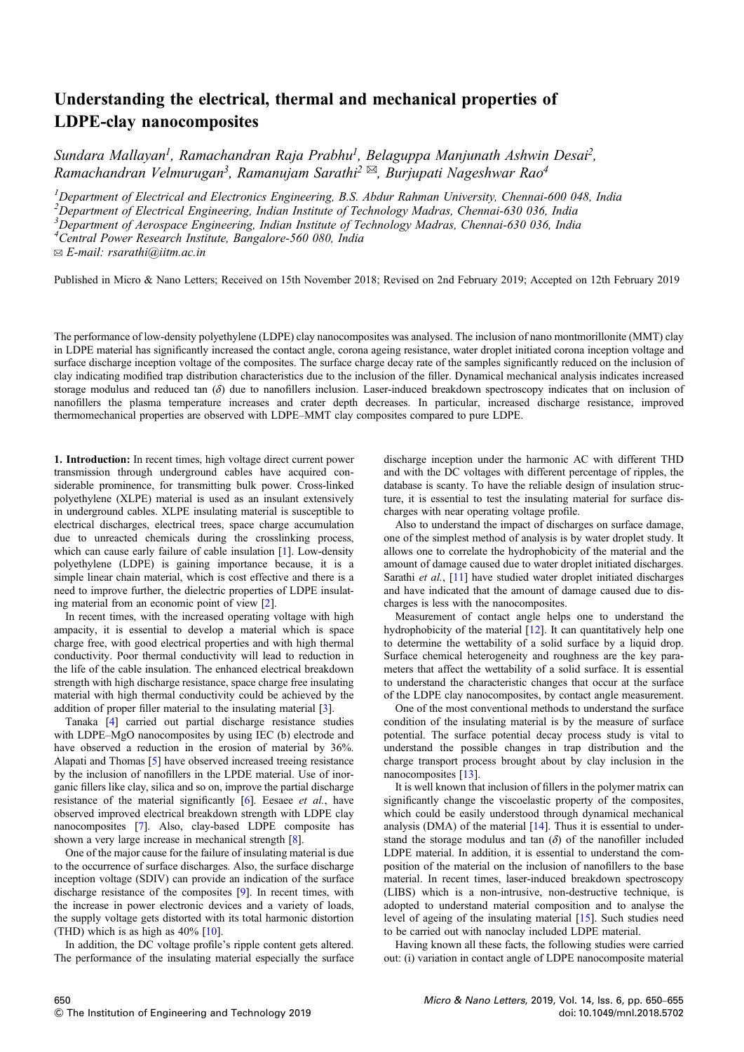## Understanding the electrical, thermal and mechanical properties of LDPE-clay nanocomposites

Sundara Mallayan<sup>1</sup>, Ramachandran Raja Prabhu<sup>1</sup>, Belaguppa Manjunath Ashwin Desai<sup>2</sup>, Ramachandran Velmurugan<sup>3</sup> , Ramanujam Sarathi<sup>2</sup> ✉, Burjupati Nageshwar Rao<sup>4</sup>

<sup>1</sup>Department of Electrical and Electronics Engineering, B.S. Abdur Rahman University, Chennai-600 048, India <sup>2</sup>Department of Electrical Engineering, Indian Institute of Technology Madras, Chennai-630 036, India  $3D$  Department of Aerospace Engineering, Indian Institute of Technology Madras, Chennai-630 036, India <sup>4</sup>Central Power Research Institute, Bangalore-560 080, India  $\boxtimes$  E-mail: rsarathi@iitm.ac.in

Published in Micro & Nano Letters; Received on 15th November 2018; Revised on 2nd February 2019; Accepted on 12th February 2019

The performance of low-density polyethylene (LDPE) clay nanocomposites was analysed. The inclusion of nano montmorillonite (MMT) clay in LDPE material has significantly increased the contact angle, corona ageing resistance, water droplet initiated corona inception voltage and surface discharge inception voltage of the composites. The surface charge decay rate of the samples significantly reduced on the inclusion of clay indicating modified trap distribution characteristics due to the inclusion of the filler. Dynamical mechanical analysis indicates increased storage modulus and reduced tan  $(\delta)$  due to nanofillers inclusion. Laser-induced breakdown spectroscopy indicates that on inclusion of nanofillers the plasma temperature increases and crater depth decreases. In particular, increased discharge resistance, improved thermomechanical properties are observed with LDPE–MMT clay composites compared to pure LDPE.

1. Introduction: In recent times, high voltage direct current power transmission through underground cables have acquired considerable prominence, for transmitting bulk power. Cross-linked polyethylene (XLPE) material is used as an insulant extensively in underground cables. XLPE insulating material is susceptible to electrical discharges, electrical trees, space charge accumulation due to unreacted chemicals during the crosslinking process, which can cause early failure of cable insulation [1]. Low-density polyethylene (LDPE) is gaining importance because, it is a simple linear chain material, which is cost effective and there is a need to improve further, the dielectric properties of LDPE insulating material from an economic point of view [2].

In recent times, with the increased operating voltage with high ampacity, it is essential to develop a material which is space charge free, with good electrical properties and with high thermal conductivity. Poor thermal conductivity will lead to reduction in the life of the cable insulation. The enhanced electrical breakdown strength with high discharge resistance, space charge free insulating material with high thermal conductivity could be achieved by the addition of proper filler material to the insulating material [3].

Tanaka [4] carried out partial discharge resistance studies with LDPE–MgO nanocomposites by using IEC (b) electrode and have observed a reduction in the erosion of material by 36%. Alapati and Thomas [5] have observed increased treeing resistance by the inclusion of nanofillers in the LPDE material. Use of inorganic fillers like clay, silica and so on, improve the partial discharge resistance of the material significantly [6]. Eesaee *et al.*, have observed improved electrical breakdown strength with LDPE clay nanocomposites [7]. Also, clay-based LDPE composite has shown a very large increase in mechanical strength [8].

One of the major cause for the failure of insulating material is due to the occurrence of surface discharges. Also, the surface discharge inception voltage (SDIV) can provide an indication of the surface discharge resistance of the composites [9]. In recent times, with the increase in power electronic devices and a variety of loads, the supply voltage gets distorted with its total harmonic distortion (THD) which is as high as  $40\%$  [10].

In addition, the DC voltage profile's ripple content gets altered. The performance of the insulating material especially the surface

discharge inception under the harmonic AC with different THD and with the DC voltages with different percentage of ripples, the database is scanty. To have the reliable design of insulation structure, it is essential to test the insulating material for surface discharges with near operating voltage profile.

Also to understand the impact of discharges on surface damage, one of the simplest method of analysis is by water droplet study. It allows one to correlate the hydrophobicity of the material and the amount of damage caused due to water droplet initiated discharges. Sarathi et al., [11] have studied water droplet initiated discharges and have indicated that the amount of damage caused due to discharges is less with the nanocomposites.

Measurement of contact angle helps one to understand the hydrophobicity of the material [12]. It can quantitatively help one to determine the wettability of a solid surface by a liquid drop. Surface chemical heterogeneity and roughness are the key parameters that affect the wettability of a solid surface. It is essential to understand the characteristic changes that occur at the surface of the LDPE clay nanocomposites, by contact angle measurement.

One of the most conventional methods to understand the surface condition of the insulating material is by the measure of surface potential. The surface potential decay process study is vital to understand the possible changes in trap distribution and the charge transport process brought about by clay inclusion in the nanocomposites [13].

It is well known that inclusion of fillers in the polymer matrix can significantly change the viscoelastic property of the composites, which could be easily understood through dynamical mechanical analysis (DMA) of the material [14]. Thus it is essential to understand the storage modulus and tan  $(\delta)$  of the nanofiller included LDPE material. In addition, it is essential to understand the composition of the material on the inclusion of nanofillers to the base material. In recent times, laser-induced breakdown spectroscopy (LIBS) which is a non-intrusive, non-destructive technique, is adopted to understand material composition and to analyse the level of ageing of the insulating material [15]. Such studies need to be carried out with nanoclay included LDPE material.

Having known all these facts, the following studies were carried out: (i) variation in contact angle of LDPE nanocomposite material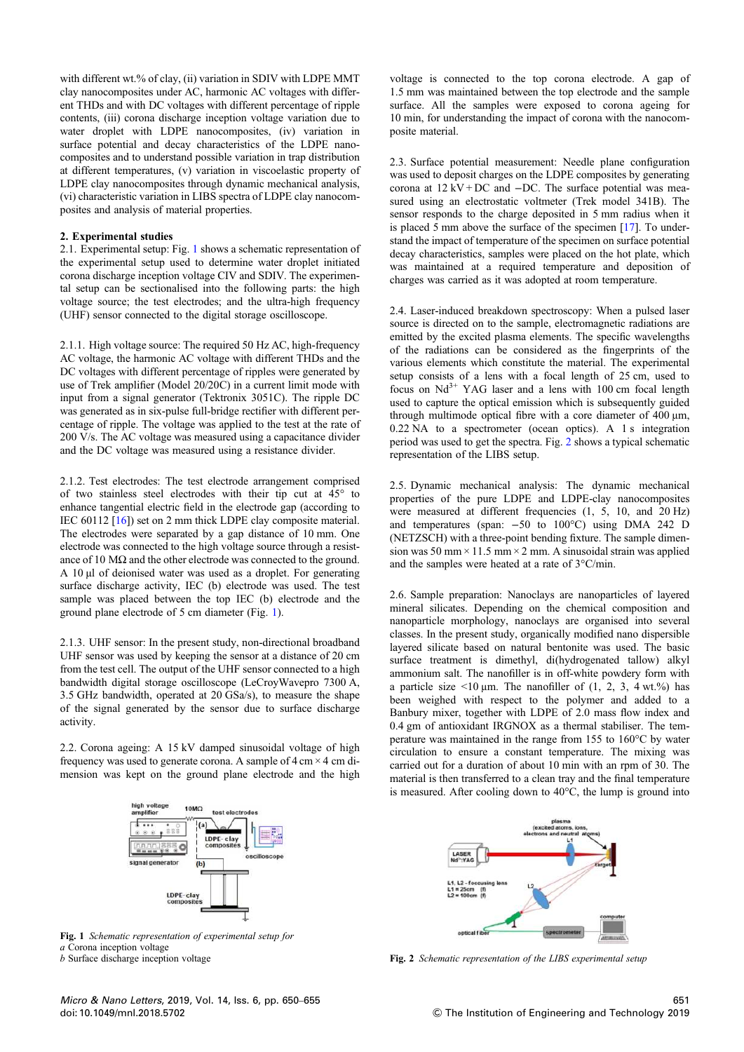with different wt.% of clay, (ii) variation in SDIV with LDPE MMT clay nanocomposites under AC, harmonic AC voltages with different THDs and with DC voltages with different percentage of ripple contents, (iii) corona discharge inception voltage variation due to water droplet with LDPE nanocomposites, (iv) variation in surface potential and decay characteristics of the LDPE nanocomposites and to understand possible variation in trap distribution at different temperatures, (v) variation in viscoelastic property of LDPE clay nanocomposites through dynamic mechanical analysis, (vi) characteristic variation in LIBS spectra of LDPE clay nanocomposites and analysis of material properties.

## 2. Experimental studies

2.1. Experimental setup: Fig. 1 shows a schematic representation of the experimental setup used to determine water droplet initiated corona discharge inception voltage CIV and SDIV. The experimental setup can be sectionalised into the following parts: the high voltage source; the test electrodes; and the ultra-high frequency (UHF) sensor connected to the digital storage oscilloscope.

2.1.1. High voltage source: The required 50 Hz AC, high-frequency AC voltage, the harmonic AC voltage with different THDs and the DC voltages with different percentage of ripples were generated by use of Trek amplifier (Model 20/20C) in a current limit mode with input from a signal generator (Tektronix 3051C). The ripple DC was generated as in six-pulse full-bridge rectifier with different percentage of ripple. The voltage was applied to the test at the rate of 200 V/s. The AC voltage was measured using a capacitance divider and the DC voltage was measured using a resistance divider.

2.1.2. Test electrodes: The test electrode arrangement comprised of two stainless steel electrodes with their tip cut at 45° to enhance tangential electric field in the electrode gap (according to IEC 60112 [16]) set on 2 mm thick LDPE clay composite material. The electrodes were separated by a gap distance of 10 mm. One electrode was connected to the high voltage source through a resistance of 10 MΩ and the other electrode was connected to the ground. A 10 µl of deionised water was used as a droplet. For generating surface discharge activity, IEC (b) electrode was used. The test sample was placed between the top IEC (b) electrode and the ground plane electrode of 5 cm diameter (Fig. 1).

2.1.3. UHF sensor: In the present study, non-directional broadband UHF sensor was used by keeping the sensor at a distance of 20 cm from the test cell. The output of the UHF sensor connected to a high bandwidth digital storage oscilloscope (LeCroyWavepro 7300 A, 3.5 GHz bandwidth, operated at 20 GSa/s), to measure the shape of the signal generated by the sensor due to surface discharge activity.

2.2. Corona ageing: A 15 kV damped sinusoidal voltage of high frequency was used to generate corona. A sample of  $4 \text{ cm} \times 4 \text{ cm}$  dimension was kept on the ground plane electrode and the high



Fig. 1 Schematic representation of experimental setup for a Corona inception voltage

voltage is connected to the top corona electrode. A gap of 1.5 mm was maintained between the top electrode and the sample surface. All the samples were exposed to corona ageing for 10 min, for understanding the impact of corona with the nanocomposite material.

2.3. Surface potential measurement: Needle plane configuration was used to deposit charges on the LDPE composites by generating corona at 12 kV + DC and −DC. The surface potential was measured using an electrostatic voltmeter (Trek model 341B). The sensor responds to the charge deposited in 5 mm radius when it is placed 5 mm above the surface of the specimen [17]. To understand the impact of temperature of the specimen on surface potential decay characteristics, samples were placed on the hot plate, which was maintained at a required temperature and deposition of charges was carried as it was adopted at room temperature.

2.4. Laser-induced breakdown spectroscopy: When a pulsed laser source is directed on to the sample, electromagnetic radiations are emitted by the excited plasma elements. The specific wavelengths of the radiations can be considered as the fingerprints of the various elements which constitute the material. The experimental setup consists of a lens with a focal length of 25 cm, used to focus on  $Nd^{3+}$  YAG laser and a lens with 100 cm focal length used to capture the optical emission which is subsequently guided through multimode optical fibre with a core diameter of 400 μm, 0.22 NA to a spectrometer (ocean optics). A 1 s integration period was used to get the spectra. Fig. 2 shows a typical schematic representation of the LIBS setup.

2.5. Dynamic mechanical analysis: The dynamic mechanical properties of the pure LDPE and LDPE-clay nanocomposites were measured at different frequencies  $(1, 5, 10,$  and  $20$  Hz) and temperatures (span: −50 to 100°C) using DMA 242 D (NETZSCH) with a three-point bending fixture. The sample dimension was 50 mm  $\times$  11.5 mm  $\times$  2 mm. A sinusoidal strain was applied and the samples were heated at a rate of 3°C/min.

2.6. Sample preparation: Nanoclays are nanoparticles of layered mineral silicates. Depending on the chemical composition and nanoparticle morphology, nanoclays are organised into several classes. In the present study, organically modified nano dispersible layered silicate based on natural bentonite was used. The basic surface treatment is dimethyl, di(hydrogenated tallow) alkyl ammonium salt. The nanofiller is in off-white powdery form with a particle size  $\leq 10 \,\text{\mu m}$ . The nanofiller of (1, 2, 3, 4 wt.%) has been weighed with respect to the polymer and added to a Banbury mixer, together with LDPE of 2.0 mass flow index and 0.4 gm of antioxidant IRGNOX as a thermal stabiliser. The temperature was maintained in the range from 155 to 160°C by water circulation to ensure a constant temperature. The mixing was carried out for a duration of about 10 min with an rpm of 30. The material is then transferred to a clean tray and the final temperature is measured. After cooling down to 40°C, the lump is ground into



b Surface discharge inception voltage  $\qquad \qquad$  Fig. 2 Schematic representation of the LIBS experimental setup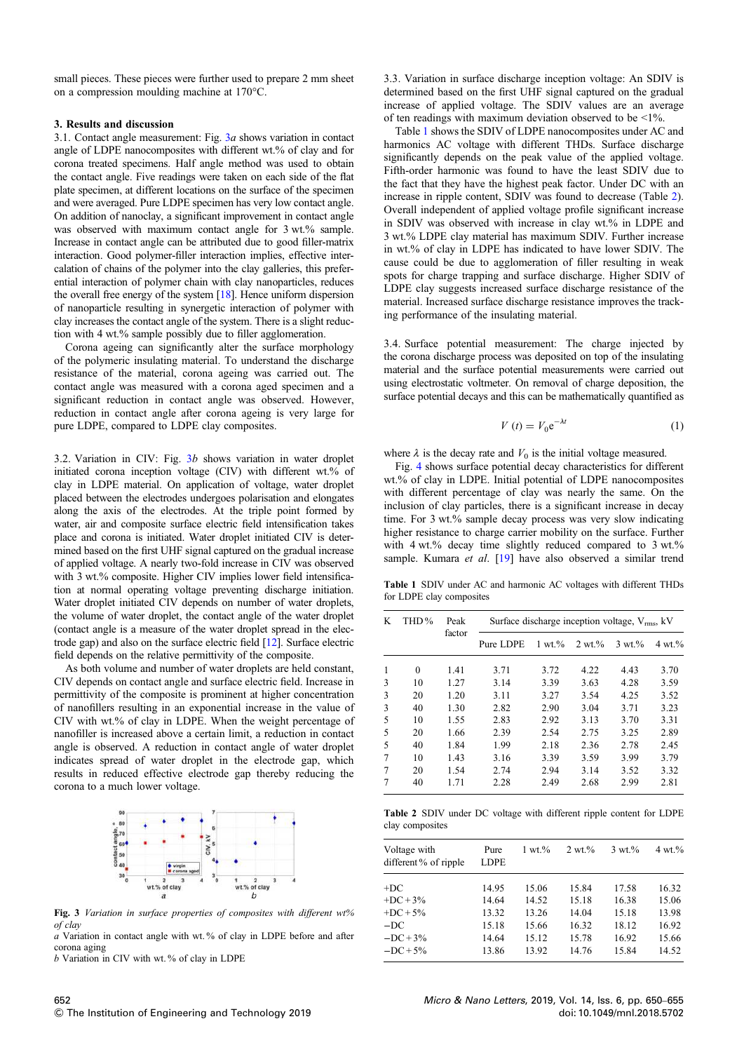small pieces. These pieces were further used to prepare 2 mm sheet on a compression moulding machine at 170°C.

## 3. Results and discussion

3.1. Contact angle measurement: Fig. 3a shows variation in contact angle of LDPE nanocomposites with different wt.% of clay and for corona treated specimens. Half angle method was used to obtain the contact angle. Five readings were taken on each side of the flat plate specimen, at different locations on the surface of the specimen and were averaged. Pure LDPE specimen has very low contact angle. On addition of nanoclay, a significant improvement in contact angle was observed with maximum contact angle for 3 wt.% sample. Increase in contact angle can be attributed due to good filler-matrix interaction. Good polymer-filler interaction implies, effective intercalation of chains of the polymer into the clay galleries, this preferential interaction of polymer chain with clay nanoparticles, reduces the overall free energy of the system [18]. Hence uniform dispersion of nanoparticle resulting in synergetic interaction of polymer with clay increases the contact angle of the system. There is a slight reduction with 4 wt.% sample possibly due to filler agglomeration.

Corona ageing can significantly alter the surface morphology of the polymeric insulating material. To understand the discharge resistance of the material, corona ageing was carried out. The contact angle was measured with a corona aged specimen and a significant reduction in contact angle was observed. However, reduction in contact angle after corona ageing is very large for pure LDPE, compared to LDPE clay composites.

3.2. Variation in CIV: Fig. 3b shows variation in water droplet initiated corona inception voltage (CIV) with different wt.% of clay in LDPE material. On application of voltage, water droplet placed between the electrodes undergoes polarisation and elongates along the axis of the electrodes. At the triple point formed by water, air and composite surface electric field intensification takes place and corona is initiated. Water droplet initiated CIV is determined based on the first UHF signal captured on the gradual increase of applied voltage. A nearly two-fold increase in CIV was observed with 3 wt.% composite. Higher CIV implies lower field intensification at normal operating voltage preventing discharge initiation. Water droplet initiated CIV depends on number of water droplets, the volume of water droplet, the contact angle of the water droplet (contact angle is a measure of the water droplet spread in the electrode gap) and also on the surface electric field [12]. Surface electric field depends on the relative permittivity of the composite.

As both volume and number of water droplets are held constant, CIV depends on contact angle and surface electric field. Increase in permittivity of the composite is prominent at higher concentration of nanofillers resulting in an exponential increase in the value of CIV with wt.% of clay in LDPE. When the weight percentage of nanofiller is increased above a certain limit, a reduction in contact angle is observed. A reduction in contact angle of water droplet indicates spread of water droplet in the electrode gap, which results in reduced effective electrode gap thereby reducing the corona to a much lower voltage.



Fig. 3 Variation in surface properties of composites with different wt% of clay

a Variation in contact angle with wt. % of clay in LDPE before and after corona aging

b Variation in CIV with wt. % of clay in LDPE

3.3. Variation in surface discharge inception voltage: An SDIV is determined based on the first UHF signal captured on the gradual increase of applied voltage. The SDIV values are an average of ten readings with maximum deviation observed to be <1%.

Table 1 shows the SDIV of LDPE nanocomposites under AC and harmonics AC voltage with different THDs. Surface discharge significantly depends on the peak value of the applied voltage. Fifth-order harmonic was found to have the least SDIV due to the fact that they have the highest peak factor. Under DC with an increase in ripple content, SDIV was found to decrease (Table 2). Overall independent of applied voltage profile significant increase in SDIV was observed with increase in clay wt.% in LDPE and 3 wt.% LDPE clay material has maximum SDIV. Further increase in wt.% of clay in LDPE has indicated to have lower SDIV. The cause could be due to agglomeration of filler resulting in weak spots for charge trapping and surface discharge. Higher SDIV of LDPE clay suggests increased surface discharge resistance of the material. Increased surface discharge resistance improves the tracking performance of the insulating material.

3.4. Surface potential measurement: The charge injected by the corona discharge process was deposited on top of the insulating material and the surface potential measurements were carried out using electrostatic voltmeter. On removal of charge deposition, the surface potential decays and this can be mathematically quantified as

$$
V(t) = V_0 e^{-\lambda t}
$$
 (1)

where  $\lambda$  is the decay rate and  $V_0$  is the initial voltage measured.

Fig. 4 shows surface potential decay characteristics for different wt.% of clay in LDPE. Initial potential of LDPE nanocomposites with different percentage of clay was nearly the same. On the inclusion of clay particles, there is a significant increase in decay time. For 3 wt.% sample decay process was very slow indicating higher resistance to charge carrier mobility on the surface. Further with 4 wt.% decay time slightly reduced compared to 3 wt.% sample. Kumara et al. [19] have also observed a similar trend

Table 1 SDIV under AC and harmonic AC voltages with different THDs for LDPE clay composites

| K | THD%     | Peak   |           |            | Surface discharge inception voltage, $V_{rms}$ , $kV$ |                    |                   |  |
|---|----------|--------|-----------|------------|-------------------------------------------------------|--------------------|-------------------|--|
|   |          | factor | Pure LDPE | $1 wt. \%$ | $2 wt. \%$                                            | $3 \text{ wt.} \%$ | $4 \text{ wt.} %$ |  |
| 1 | $\Omega$ | 1.41   | 3.71      | 3.72       | 4.22                                                  | 4.43               | 3.70              |  |
| 3 | 10       | 1.27   | 3.14      | 3.39       | 3.63                                                  | 4.28               | 3.59              |  |
| 3 | 20       | 1.20   | 3.11      | 3.27       | 3.54                                                  | 4.25               | 3.52              |  |
| 3 | 40       | 1.30   | 2.82      | 2.90       | 3.04                                                  | 3.71               | 3.23              |  |
| 5 | 10       | 1.55   | 2.83      | 2.92       | 3.13                                                  | 3.70               | 3.31              |  |
| 5 | 20       | 1.66   | 2.39      | 2.54       | 2.75                                                  | 3.25               | 2.89              |  |
| 5 | 40       | 1.84   | 1.99      | 2.18       | 2.36                                                  | 2.78               | 2.45              |  |
| 7 | 10       | 1.43   | 3.16      | 3.39       | 3.59                                                  | 3.99               | 3.79              |  |
| 7 | 20       | 1.54   | 2.74      | 2.94       | 3.14                                                  | 3.52               | 3.32              |  |
| 7 | 40       | 1.71   | 2.28      | 2.49       | 2.68                                                  | 2.99               | 2.81              |  |

Table 2 SDIV under DC voltage with different ripple content for LDPE clay composites

| Voltage with<br>different% of ripple | Pure<br><b>LDPE</b> | $1 wt. \%$ | $2 wt.$ % | $3 wt.$ % | $4 \text{ wt.} %$ |
|--------------------------------------|---------------------|------------|-----------|-----------|-------------------|
| $+DC$                                | 14.95               | 15.06      | 15.84     | 17.58     | 16.32             |
| $+DC + 3\%$                          | 14.64               | 14.52      | 15.18     | 16.38     | 15.06             |
| $+DC + 5\%$                          | 13.32               | 13.26      | 14.04     | 15.18     | 13.98             |
| $-DC$                                | 15.18               | 15.66      | 16.32     | 18.12     | 16.92             |
| $-DC + 3\%$                          | 14.64               | 15.12      | 15.78     | 16.92     | 15.66             |
| $-DC + 5\%$                          | 13.86               | 13.92      | 14.76     | 15.84     | 14.52             |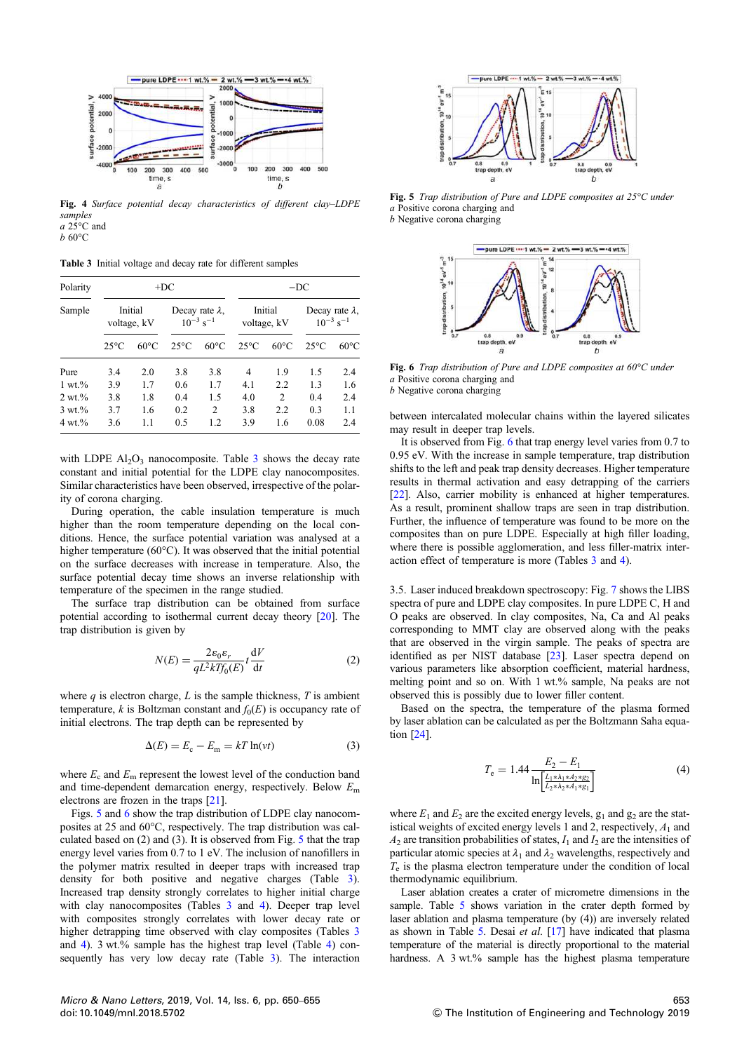

Fig. 4 Surface potential decay characteristics of different clay–LDPE samples  $a$  25 $\degree$ C and

 $b$  60 $\mathrm{^{\circ}C}$ 

Table 3 Initial voltage and decay rate for different samples

| Polarity          |                |                        | $+DC$          |                                                                               |                | $-DC$                                               |                |                |
|-------------------|----------------|------------------------|----------------|-------------------------------------------------------------------------------|----------------|-----------------------------------------------------|----------------|----------------|
| Sample            |                | Initial<br>voltage, kV |                | Initial<br>Decay rate $\lambda$ ,<br>$10^{-3}$ s <sup>-1</sup><br>voltage, kV |                | Decay rate $\lambda$ ,<br>$10^{-3}$ s <sup>-1</sup> |                |                |
|                   | $25^{\circ}$ C | $60^{\circ}$ C         | $25^{\circ}$ C | $60^{\circ}$ C                                                                | $25^{\circ}$ C | $60^{\circ}$ C                                      | $25^{\circ}$ C | $60^{\circ}$ C |
| Pure              | 3.4            | 2.0                    | 3.8            | 3.8                                                                           | 4              | 1.9                                                 | 1.5            | 2.4            |
| $1 wt. \%$        | 3.9            | 17                     | 0.6            | 1.7                                                                           | 4.1            | 2.2                                                 | 1.3            | 1.6            |
| $2 wt. \%$        | 3.8            | 1.8                    | 0.4            | 1.5                                                                           | 4.0            | $\mathfrak{D}$                                      | 0.4            | 2.4            |
| $3 wt.$ %         | 3.7            | 1.6                    | 0.2            | $\mathfrak{D}$                                                                | 3.8            | 2.2                                                 | 0.3            | 1.1            |
| $4 \text{ wt.} %$ | 3.6            | 11                     | 0.5            | 1.2                                                                           | 3.9            | 1.6                                                 | 0.08           | 2.4            |

with LDPE  $\text{Al}_2\text{O}_3$  nanocomposite. Table 3 shows the decay rate constant and initial potential for the LDPE clay nanocomposites. Similar characteristics have been observed, irrespective of the polarity of corona charging.

During operation, the cable insulation temperature is much higher than the room temperature depending on the local conditions. Hence, the surface potential variation was analysed at a higher temperature (60°C). It was observed that the initial potential on the surface decreases with increase in temperature. Also, the surface potential decay time shows an inverse relationship with temperature of the specimen in the range studied.

The surface trap distribution can be obtained from surface potential according to isothermal current decay theory [20]. The trap distribution is given by

$$
N(E) = \frac{2\varepsilon_0 \varepsilon_r}{qL^2 k T f_0(E)} t \frac{\mathrm{d}V}{\mathrm{d}t}
$$
 (2)

where  $q$  is electron charge,  $L$  is the sample thickness,  $T$  is ambient temperature, k is Boltzman constant and  $f_0(E)$  is occupancy rate of initial electrons. The trap depth can be represented by

$$
\Delta(E) = E_{\rm c} - E_{\rm m} = kT \ln(vt) \tag{3}
$$

where  $E_c$  and  $E_m$  represent the lowest level of the conduction band and time-dependent demarcation energy, respectively. Below  $E<sub>m</sub>$ electrons are frozen in the traps [21].

Figs. 5 and 6 show the trap distribution of LDPE clay nanocomposites at 25 and 60°C, respectively. The trap distribution was calculated based on (2) and (3). It is observed from Fig. 5 that the trap energy level varies from 0.7 to 1 eV. The inclusion of nanofillers in the polymer matrix resulted in deeper traps with increased trap density for both positive and negative charges (Table 3). Increased trap density strongly correlates to higher initial charge with clay nanocomposites (Tables 3 and 4). Deeper trap level with composites strongly correlates with lower decay rate or higher detrapping time observed with clay composites (Tables 3 and 4). 3 wt.% sample has the highest trap level (Table 4) consequently has very low decay rate (Table 3). The interaction



Fig. 5 Trap distribution of Pure and LDPE composites at 25°C under a Positive corona charging and b Negative corona charging



Fig. 6 Trap distribution of Pure and LDPE composites at 60°C under a Positive corona charging and b Negative corona charging

between intercalated molecular chains within the layered silicates may result in deeper trap levels.

It is observed from Fig. 6 that trap energy level varies from 0.7 to 0.95 eV. With the increase in sample temperature, trap distribution shifts to the left and peak trap density decreases. Higher temperature results in thermal activation and easy detrapping of the carriers [22]. Also, carrier mobility is enhanced at higher temperatures. As a result, prominent shallow traps are seen in trap distribution. Further, the influence of temperature was found to be more on the composites than on pure LDPE. Especially at high filler loading, where there is possible agglomeration, and less filler-matrix interaction effect of temperature is more (Tables 3 and 4).

3.5. Laser induced breakdown spectroscopy: Fig. 7 shows the LIBS spectra of pure and LDPE clay composites. In pure LDPE C, H and O peaks are observed. In clay composites, Na, Ca and Al peaks corresponding to MMT clay are observed along with the peaks that are observed in the virgin sample. The peaks of spectra are identified as per NIST database [23]. Laser spectra depend on various parameters like absorption coefficient, material hardness, melting point and so on. With 1 wt.% sample, Na peaks are not observed this is possibly due to lower filler content.

Based on the spectra, the temperature of the plasma formed by laser ablation can be calculated as per the Boltzmann Saha equation [24].

$$
T_{\rm e} = 1.44 \frac{E_2 - E_1}{\ln \left[ \frac{L_1 * \lambda_1 * A_2 * g_2}{L_2 * \lambda_2 * A_1 * g_1} \right]}
$$
(4)

where  $E_1$  and  $E_2$  are the excited energy levels,  $g_1$  and  $g_2$  are the statistical weights of excited energy levels 1 and 2, respectively,  $A_1$  and  $A_2$  are transition probabilities of states,  $I_1$  and  $I_2$  are the intensities of particular atomic species at  $\lambda_1$  and  $\lambda_2$  wavelengths, respectively and  $T_e$  is the plasma electron temperature under the condition of local thermodynamic equilibrium.

Laser ablation creates a crater of micrometre dimensions in the sample. Table 5 shows variation in the crater depth formed by laser ablation and plasma temperature (by (4)) are inversely related as shown in Table 5. Desai et al. [17] have indicated that plasma temperature of the material is directly proportional to the material hardness. A 3 wt.% sample has the highest plasma temperature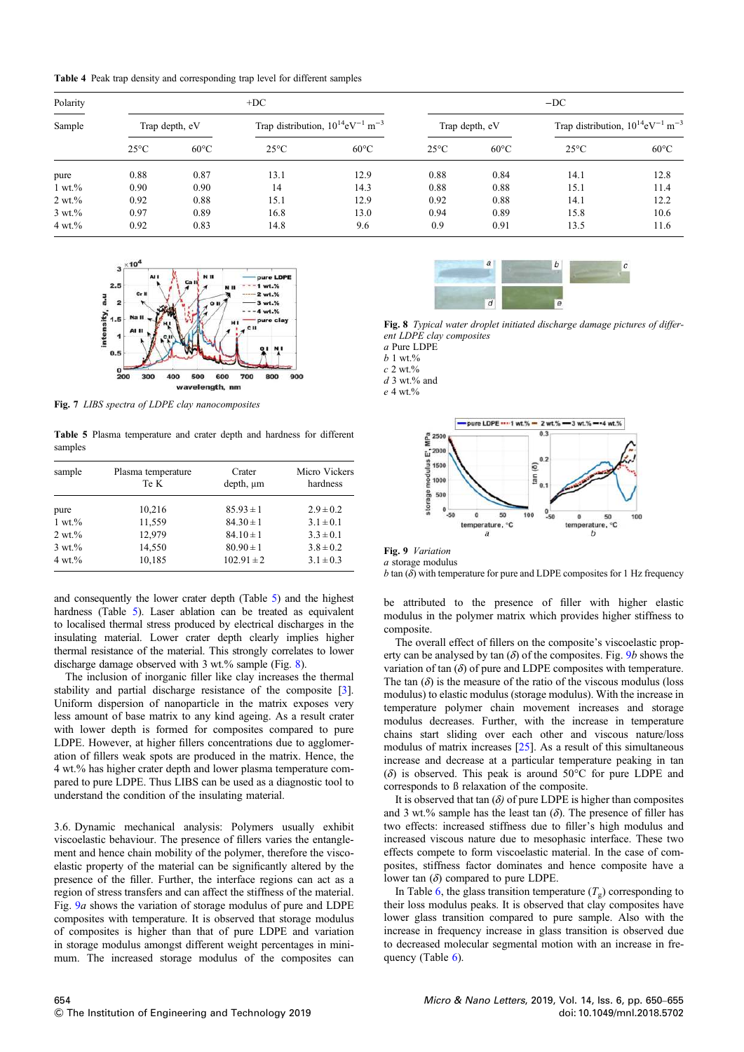Table 4 Peak trap density and corresponding trap level for different samples

| Polarity<br>Sample |                |                | $+DC$                                                         |                | $-DC$          |                |                                                               |                |
|--------------------|----------------|----------------|---------------------------------------------------------------|----------------|----------------|----------------|---------------------------------------------------------------|----------------|
|                    | Trap depth, eV |                | Trap distribution, $10^{14}$ eV <sup>-1</sup> m <sup>-3</sup> |                | Trap depth, eV |                | Trap distribution, $10^{14}$ eV <sup>-1</sup> m <sup>-3</sup> |                |
|                    | $25^{\circ}$ C | $60^{\circ}$ C | $25^{\circ}$ C                                                | $60^{\circ}$ C | $25^{\circ}$ C | $60^{\circ}$ C | $25^{\circ}$ C                                                | $60^{\circ}$ C |
| pure               | 0.88           | 0.87           | 13.1                                                          | 12.9           | 0.88           | 0.84           | 14.1                                                          | 12.8           |
| $1 wt. \%$         | 0.90           | 0.90           | 14                                                            | 14.3           | 0.88           | 0.88           | 15.1                                                          | 11.4           |
| $2 wt. \%$         | 0.92           | 0.88           | 15.1                                                          | 12.9           | 0.92           | 0.88           | 14.1                                                          | 12.2           |
| $3 wt.$ %          | 0.97           | 0.89           | 16.8                                                          | 13.0           | 0.94           | 0.89           | 15.8                                                          | 10.6           |
| $4 \text{ wt.} \%$ | 0.92           | 0.83           | 14.8                                                          | 9.6            | 0.9            | 0.91           | 13.5                                                          | 11.6           |



Fig. 7 LIBS spectra of LDPE clay nanocomposites

Table 5 Plasma temperature and crater depth and hardness for different samples

| sample            | Plasma temperature<br>Te K | Crater<br>$depth, \mu m$ | Micro Vickers<br>hardness |
|-------------------|----------------------------|--------------------------|---------------------------|
| pure              | 10,216                     | $85.93 \pm 1$            | $2.9 \pm 0.2$             |
| $1 wt. \%$        | 11,559                     | $84.30 \pm 1$            | $3.1 \pm 0.1$             |
| $2 wt.$ %         | 12,979                     | $84.10 \pm 1$            | $3.3 \pm 0.1$             |
| $3 wt.$ %         | 14,550                     | $80.90 \pm 1$            | $3.8 \pm 0.2$             |
| $4 \text{ wt.} %$ | 10,185                     | $102.91 \pm 2$           | $3.1 \pm 0.3$             |

and consequently the lower crater depth (Table 5) and the highest hardness (Table 5). Laser ablation can be treated as equivalent to localised thermal stress produced by electrical discharges in the insulating material. Lower crater depth clearly implies higher thermal resistance of the material. This strongly correlates to lower discharge damage observed with 3 wt.% sample (Fig. 8).

The inclusion of inorganic filler like clay increases the thermal stability and partial discharge resistance of the composite [3]. Uniform dispersion of nanoparticle in the matrix exposes very less amount of base matrix to any kind ageing. As a result crater with lower depth is formed for composites compared to pure LDPE. However, at higher fillers concentrations due to agglomeration of fillers weak spots are produced in the matrix. Hence, the 4 wt.% has higher crater depth and lower plasma temperature compared to pure LDPE. Thus LIBS can be used as a diagnostic tool to understand the condition of the insulating material.

3.6. Dynamic mechanical analysis: Polymers usually exhibit viscoelastic behaviour. The presence of fillers varies the entanglement and hence chain mobility of the polymer, therefore the viscoelastic property of the material can be significantly altered by the presence of the filler. Further, the interface regions can act as a region of stress transfers and can affect the stiffness of the material. Fig. 9a shows the variation of storage modulus of pure and LDPE composites with temperature. It is observed that storage modulus of composites is higher than that of pure LDPE and variation in storage modulus amongst different weight percentages in minimum. The increased storage modulus of the composites can



Fig. 8 Typical water droplet initiated discharge damage pictures of different LDPE clay composites pe

|  |                  | a Pure LDPE  |
|--|------------------|--------------|
|  | $h \cdot 1$ wt.% |              |
|  | $c$ 2 wt.%       |              |
|  |                  | d 3 wt.% and |

 $e$  4 wt. $%$ 



Fig. 9 Variation a storage modulus

b tan  $\overline{(\delta)}$  with temperature for pure and LDPE composites for 1 Hz frequency

be attributed to the presence of filler with higher elastic modulus in the polymer matrix which provides higher stiffness to composite.

The overall effect of fillers on the composite's viscoelastic property can be analysed by tan  $(\delta)$  of the composites. Fig.  $9b$  shows the variation of tan  $(\delta)$  of pure and LDPE composites with temperature. The tan  $(\delta)$  is the measure of the ratio of the viscous modulus (loss modulus) to elastic modulus (storage modulus). With the increase in temperature polymer chain movement increases and storage modulus decreases. Further, with the increase in temperature chains start sliding over each other and viscous nature/loss modulus of matrix increases [25]. As a result of this simultaneous increase and decrease at a particular temperature peaking in tan  $(\delta)$  is observed. This peak is around 50°C for pure LDPE and corresponds to ß relaxation of the composite.

It is observed that tan  $(\delta)$  of pure LDPE is higher than composites and 3 wt.% sample has the least tan  $(\delta)$ . The presence of filler has two effects: increased stiffness due to filler's high modulus and increased viscous nature due to mesophasic interface. These two effects compete to form viscoelastic material. In the case of composites, stiffness factor dominates and hence composite have a lower tan  $(\delta)$  compared to pure LDPE.

In Table 6, the glass transition temperature  $(T_g)$  corresponding to their loss modulus peaks. It is observed that clay composites have lower glass transition compared to pure sample. Also with the increase in frequency increase in glass transition is observed due to decreased molecular segmental motion with an increase in frequency (Table 6).